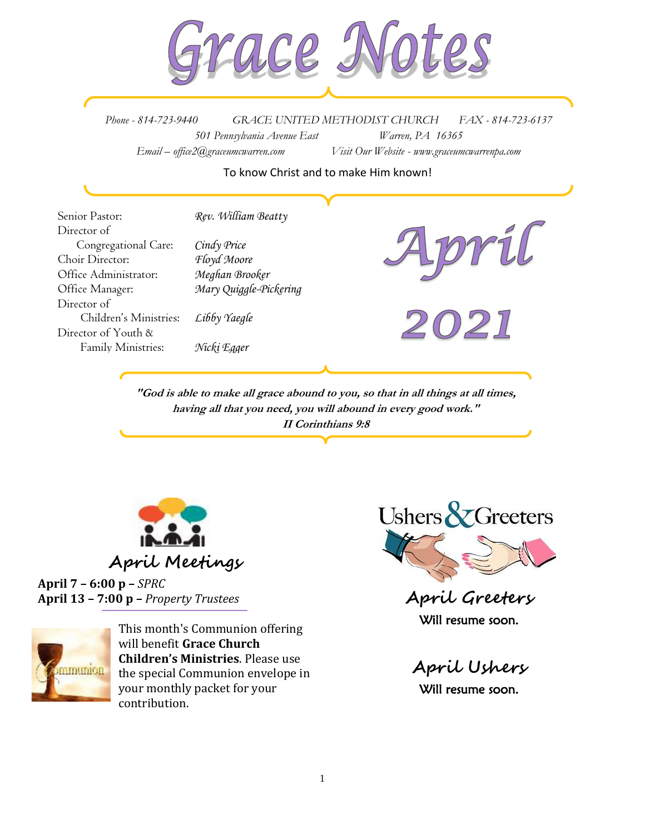

*Phone - 814-723-9440 GRACE UNITED METHODIST CHURCH FAX - 814-723-6137 501 Pennsylvania Avenue East Warren, PA 16365 Email – office2@graceumcwarren.com Visit Our Website - www.graceumcwarrenpa.com* 

#### To know Christ and to make Him known!

Senior Pastor: *Rev. William Beatty* Director of Congregational Care: *Cindy Price* Choir Director: *Floyd Moore* Office Administrator: *Meghan Brooker* Office Manager: *Mary Quiggle-Pickering* Director of Children's Ministries: *Libby Yaegle* Director of Youth & Family Ministries: *Nicki Egger*

**"God is able to make all grace abound to you, so that in all things at all times, having all that you need, you will abound in every good work." II Corinthians 9:8**



**April 7 – 6:00 p –** *SPRC* **April 13 – 7:00 p –** *Property Trustees*



This month's Communion offering will benefit **Grace Church Children's Ministries**. Please use the special Communion envelope in your monthly packet for your contribution.



**April Greeters** Will resume soon.

**April Ushers** Will resume soon.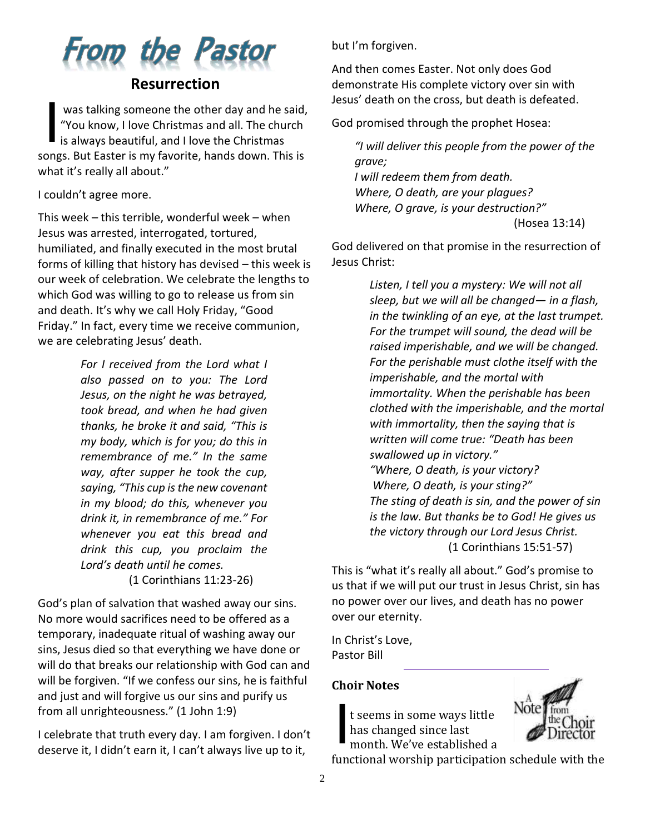

## **Resurrection**

was talking someone the other day and he said, "You know, I love Christmas and all. The church is always beautiful, and I love the Christmas songs. But Easter is my favorite, hands down. This is what it's really all about." I

I couldn't agree more.

This week – this terrible, wonderful week – when Jesus was arrested, interrogated, tortured, humiliated, and finally executed in the most brutal forms of killing that history has devised – this week is our week of celebration. We celebrate the lengths to which God was willing to go to release us from sin and death. It's why we call Holy Friday, "Good Friday." In fact, every time we receive communion, we are celebrating Jesus' death.

> *For I received from the Lord what I also passed on to you: The Lord Jesus, on the night he was betrayed, took bread, and when he had given thanks, he broke it and said, "This is my body, which is for you; do this in remembrance of me." In the same way, after supper he took the cup, saying, "This cup is the new covenant in my blood; do this, whenever you drink it, in remembrance of me." For whenever you eat this bread and drink this cup, you proclaim the Lord's death until he comes.*

(1 Corinthians 11:23-26)

God's plan of salvation that washed away our sins. No more would sacrifices need to be offered as a temporary, inadequate ritual of washing away our sins, Jesus died so that everything we have done or will do that breaks our relationship with God can and will be forgiven. "If we confess our sins, he is faithful and just and will forgive us our sins and purify us from all unrighteousness." (1 John 1:9)

I celebrate that truth every day. I am forgiven. I don't deserve it, I didn't earn it, I can't always live up to it,

but I'm forgiven.

And then comes Easter. Not only does God demonstrate His complete victory over sin with Jesus' death on the cross, but death is defeated.

God promised through the prophet Hosea:

*"I will deliver this people from the power of the grave; I will redeem them from death. Where, O death, are your plagues? Where, O grave, is your destruction?"* (Hosea 13:14)

God delivered on that promise in the resurrection of Jesus Christ:

> *Listen, I tell you a mystery: We will not all sleep, but we will all be changed— in a flash, in the twinkling of an eye, at the last trumpet. For the trumpet will sound, the dead will be raised imperishable, and we will be changed. For the perishable must clothe itself with the imperishable, and the mortal with immortality. When the perishable has been clothed with the imperishable, and the mortal with immortality, then the saying that is written will come true: "Death has been swallowed up in victory." "Where, O death, is your victory? Where, O death, is your sting?" The sting of death is sin, and the power of sin is the law. But thanks be to God! He gives us the victory through our Lord Jesus Christ.* (1 Corinthians 15:51-57)

This is "what it's really all about." God's promise to us that if we will put our trust in Jesus Christ, sin has no power over our lives, and death has no power over our eternity.

In Christ's Love, Pastor Bill

#### **Choir Notes**

t seems in some ways little has changed since last month. We've established a I



functional worship participation schedule with the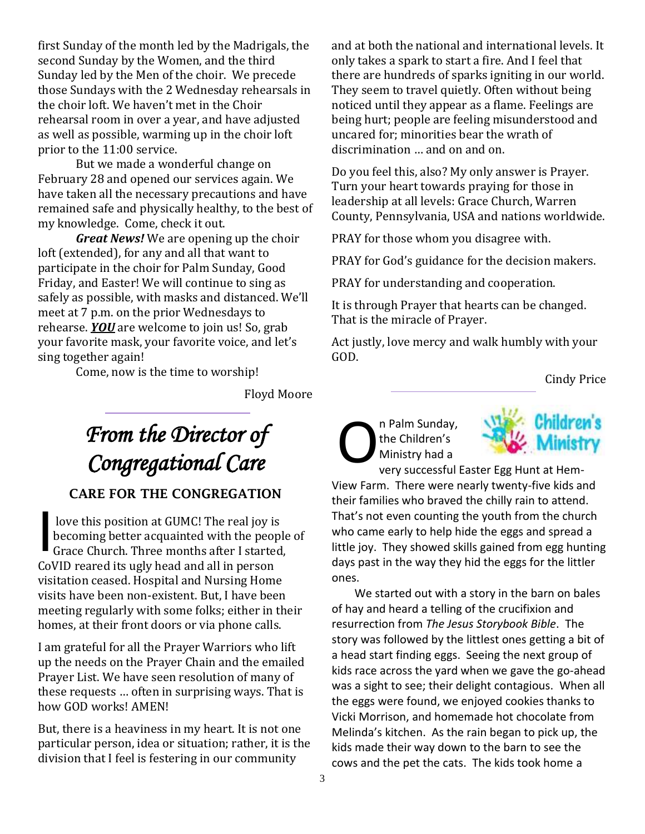first Sunday of the month led by the Madrigals, the second Sunday by the Women, and the third Sunday led by the Men of the choir. We precede those Sundays with the 2 Wednesday rehearsals in the choir loft. We haven't met in the Choir rehearsal room in over a year, and have adjusted as well as possible, warming up in the choir loft prior to the 11:00 service.

But we made a wonderful change on February 28 and opened our services again. We have taken all the necessary precautions and have remained safe and physically healthy, to the best of my knowledge. Come, check it out.

*Great News!* We are opening up the choir loft (extended), for any and all that want to participate in the choir for Palm Sunday, Good Friday, and Easter! We will continue to sing as safely as possible, with masks and distanced. We'll meet at 7 p.m. on the prior Wednesdays to rehearse. *YOU* are welcome to join us! So, grab your favorite mask, your favorite voice, and let's sing together again!

Come, now is the time to worship!

Floyd Moore

# *From the Director of Congregational Care*

## CARE FOR THE CONGREGATION

love this position at GUMC! The real joy is becoming better acquainted with the people of Grace Church. Three months after I started, CoVID reared its ugly head and all in person visitation ceased. Hospital and Nursing Home visits have been non-existent. But, I have been meeting regularly with some folks; either in their homes, at their front doors or via phone calls. I

I am grateful for all the Prayer Warriors who lift up the needs on the Prayer Chain and the emailed Prayer List. We have seen resolution of many of these requests … often in surprising ways. That is how GOD works! AMEN!

But, there is a heaviness in my heart. It is not one particular person, idea or situation; rather, it is the division that I feel is festering in our community

and at both the national and international levels. It only takes a spark to start a fire. And I feel that there are hundreds of sparks igniting in our world. They seem to travel quietly. Often without being noticed until they appear as a flame. Feelings are being hurt; people are feeling misunderstood and uncared for; minorities bear the wrath of discrimination … and on and on.

Do you feel this, also? My only answer is Prayer. Turn your heart towards praying for those in leadership at all levels: Grace Church, Warren County, Pennsylvania, USA and nations worldwide.

PRAY for those whom you disagree with.

PRAY for God's guidance for the decision makers.

PRAY for understanding and cooperation.

It is through Prayer that hearts can be changed. That is the miracle of Prayer.

Act justly, love mercy and walk humbly with your GOD.

Cindy Price

n Palm Sunday, the Children's Ministry had a O



very successful Easter Egg Hunt at Hem-View Farm. There were nearly twenty-five kids and their families who braved the chilly rain to attend. That's not even counting the youth from the church who came early to help hide the eggs and spread a little joy. They showed skills gained from egg hunting days past in the way they hid the eggs for the littler ones.

We started out with a story in the barn on bales of hay and heard a telling of the crucifixion and resurrection from *The Jesus Storybook Bible*. The story was followed by the littlest ones getting a bit of a head start finding eggs. Seeing the next group of kids race across the yard when we gave the go-ahead was a sight to see; their delight contagious. When all the eggs were found, we enjoyed cookies thanks to Vicki Morrison, and homemade hot chocolate from Melinda's kitchen. As the rain began to pick up, the kids made their way down to the barn to see the cows and the pet the cats. The kids took home a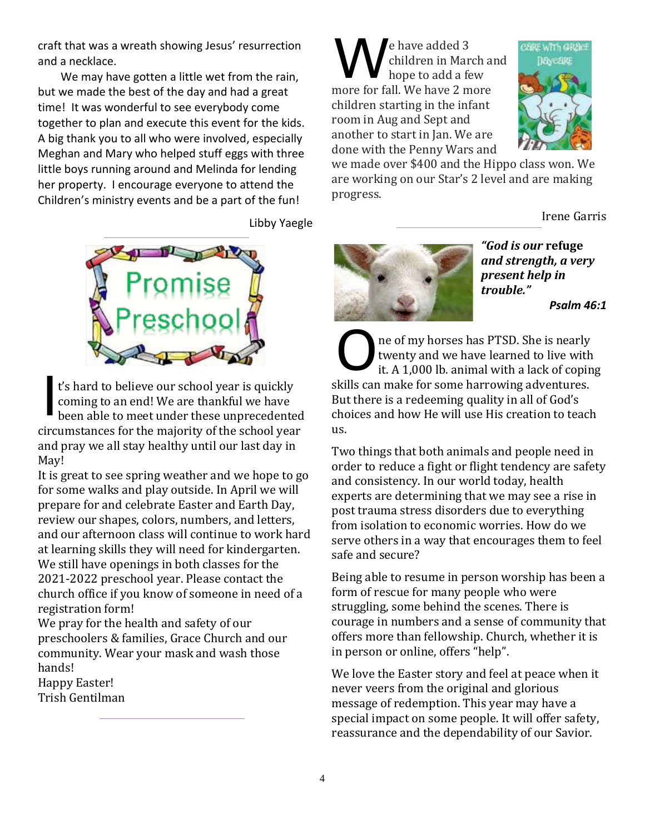craft that was a wreath showing Jesus' resurrection and a necklace.

We may have gotten a little wet from the rain, but we made the best of the day and had a great time! It was wonderful to see everybody come together to plan and execute this event for the kids. A big thank you to all who were involved, especially Meghan and Mary who helped stuff eggs with three little boys running around and Melinda for lending her property. I encourage everyone to attend the Children's ministry events and be a part of the fun!

Libby Yaegle



t's hard to believe our school year is quickly coming to an end! We are thankful we have been able to meet under these unprecedented circumstances for the majority of the school year and pray we all stay healthy until our last day in May! I

It is great to see spring weather and we hope to go for some walks and play outside. In April we will prepare for and celebrate Easter and Earth Day, review our shapes, colors, numbers, and letters, and our afternoon class will continue to work hard at learning skills they will need for kindergarten. We still have openings in both classes for the 2021-2022 preschool year. Please contact the church office if you know of someone in need of a registration form!

We pray for the health and safety of our preschoolers & families, Grace Church and our community. Wear your mask and wash those hands!

Happy Easter! Trish Gentilman

e have added 3 children in March and hope to add a few more for fall. We have 2 more children starting in the infant room in Aug and Sept and another to start in Jan. We are done with the Penny Wars and W



we made over \$400 and the Hippo class won. We are working on our Star's 2 level and are making progress.

Irene Garris



*"God is our* **refuge**  *and strength, a very present help in trouble."*

*Psalm 46:1*

ne of my horses has PTSD. She is nearly twenty and we have learned to live with it. A 1,000 lb. animal with a lack of coping skills can make for some harrowing adventures. But there is a redeeming quality in all of God's choices and how He will use His creation to teach us. O

Two things that both animals and people need in order to reduce a fight or flight tendency are safety and consistency. In our world today, health experts are determining that we may see a rise in post trauma stress disorders due to everything from isolation to economic worries. How do we serve others in a way that encourages them to feel safe and secure?

Being able to resume in person worship has been a form of rescue for many people who were struggling, some behind the scenes. There is courage in numbers and a sense of community that offers more than fellowship. Church, whether it is in person or online, offers "help".

We love the Easter story and feel at peace when it never veers from the original and glorious message of redemption. This year may have a special impact on some people. It will offer safety, reassurance and the dependability of our Savior.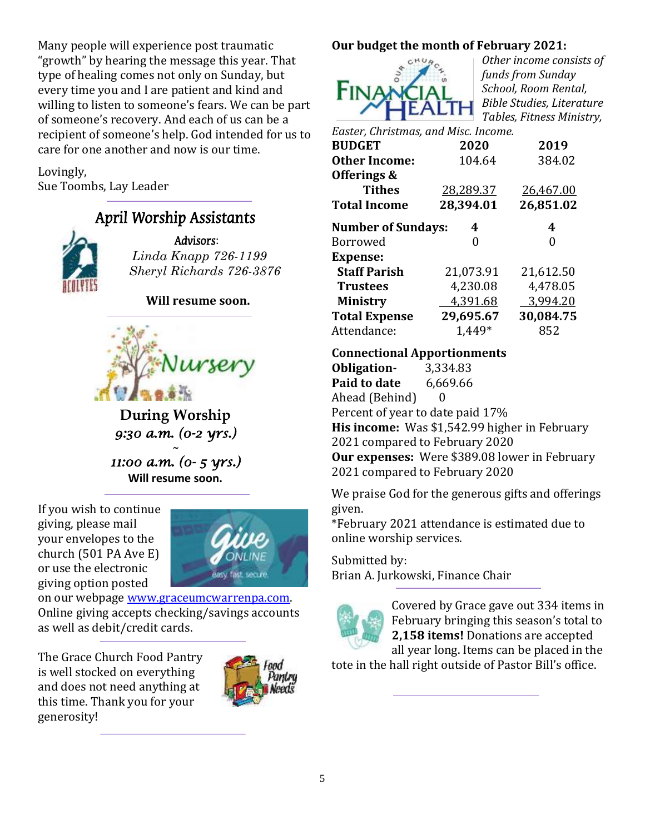Many people will experience post traumatic "growth" by hearing the message this year. That type of healing comes not only on Sunday, but every time you and I are patient and kind and willing to listen to someone's fears. We can be part of someone's recovery. And each of us can be a recipient of someone's help. God intended for us to care for one another and now is our time.

Lovingly, Sue Toombs, Lay Leader

## April Worship Assistants



Advisors: *Linda Knapp 726-1199 Sheryl Richards 726-3876*

**Will resume soon.**



**During Worship** *9:30 a.m. (0-2 yrs.)* 

*~ 11:00 a.m. (0- 5 yrs.)*  **Will resume soon.**

If you wish to continue giving, please mail your envelopes to the church (501 PA Ave E) or use the electronic giving option posted



on our webpage [www.graceumcwarrenpa.com.](http://www.graceumcwarrenpa.com/)  Online giving accepts checking/savings accounts as well as debit/credit cards.

The Grace Church Food Pantry is well stocked on everything and does not need anything at this time. Thank you for your generosity!



## **Our budget the month of February 2021:**



*Other income consists of funds from Sunday School, Room Rental, Bible Studies, Literature Tables, Fitness Ministry,* 

| Easter, Christmas, and Misc. Income. |        |           |           |  |  |  |  |  |
|--------------------------------------|--------|-----------|-----------|--|--|--|--|--|
| <b>BUDGET</b>                        |        | 2020      | 2019      |  |  |  |  |  |
| <b>Other Income:</b>                 | 104.64 |           | 384.02    |  |  |  |  |  |
| Offerings &                          |        |           |           |  |  |  |  |  |
| <b>Tithes</b>                        |        | 28,289.37 | 26,467.00 |  |  |  |  |  |
| <b>Total Income</b>                  |        | 28,394.01 | 26,851.02 |  |  |  |  |  |
| <b>Number of Sundays:</b>            |        | 4         | 4         |  |  |  |  |  |
| Borrowed                             |        | 0         | O         |  |  |  |  |  |
| <b>Expense:</b>                      |        |           |           |  |  |  |  |  |
| <b>Staff Parish</b>                  |        | 21,073.91 | 21,612.50 |  |  |  |  |  |
| <b>Trustees</b>                      |        | 4,230.08  | 4,478.05  |  |  |  |  |  |
| <b>Ministry</b>                      |        | 4,391.68  | 3,994.20  |  |  |  |  |  |
| <b>Total Expense</b>                 |        | 29,695.67 | 30,084.75 |  |  |  |  |  |
| Attendance:                          |        | 1.449*    | 852       |  |  |  |  |  |

## **Connectional Apportionments**

**Obligation-** 3,334.83 **Paid to date** 6,669.66 Ahead (Behind) 0 Percent of year to date paid 17% **His income:** Was \$1,542.99 higher in February 2021 compared to February 2020 **Our expenses:** Were \$389.08 lower in February 2021 compared to February 2020

We praise God for the generous gifts and offerings given.

\*February 2021 attendance is estimated due to online worship services.

### Submitted by:

Brian A. Jurkowski, Finance Chair



Covered by Grace gave out 334 items in February bringing this season's total to **2,158 items!** Donations are accepted all year long. Items can be placed in the

tote in the hall right outside of Pastor Bill's office.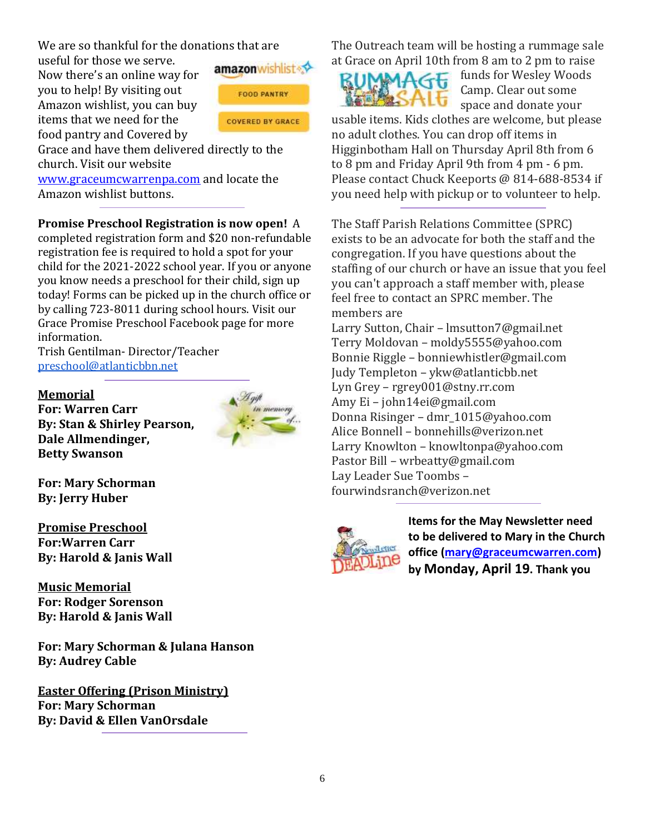We are so thankful for the donations that are

useful for those we serve. Now there's an online way for you to help! By visiting out Amazon wishlist, you can buy items that we need for the food pantry and Covered by



Grace and have them delivered directly to the church. Visit our website

[www.graceumcwarrenpa.com](http://www.graceumcwarrenpa.com/) and locate the Amazon wishlist buttons.

**Promise Preschool Registration is now open!** A

completed registration form and \$20 non-refundable registration fee is required to hold a spot for your child for the 2021-2022 school year. If you or anyone you know needs a preschool for their child, sign up today! Forms can be picked up in the church office or by calling 723-8011 during school hours. Visit our Grace Promise Preschool Facebook page for more information.

Trish Gentilman- Director/Teacher [preschool@atlanticbbn.net](mailto:preschool@atlanticbbn.net)

#### **Memorial**

**For: Warren Carr By: Stan & Shirley Pearson, Dale Allmendinger, Betty Swanson**



**For: Mary Schorman By: Jerry Huber**

**Promise Preschool For:Warren Carr By: Harold & Janis Wall**

**Music Memorial For: Rodger Sorenson By: Harold & Janis Wall**

**For: Mary Schorman & Julana Hanson By: Audrey Cable**

**Easter Offering (Prison Ministry) For: Mary Schorman By: David & Ellen VanOrsdale**

The Outreach team will be hosting a rummage sale at Grace on April 10th from 8 am to 2 pm to raise



funds for Wesley Woods Camp. Clear out some space and donate your

usable items. Kids clothes are welcome, but please no adult clothes. You can drop off items in Higginbotham Hall on Thursday April 8th from 6 to 8 pm and Friday April 9th from 4 pm - 6 pm. Please contact Chuck Keeports @ 814-688-8534 if you need help with pickup or to volunteer to help.

The Staff Parish Relations Committee (SPRC) exists to be an advocate for both the staff and the congregation. If you have questions about the staffing of our church or have an issue that you feel you can't approach a staff member with, please feel free to contact an SPRC member. The members are

Larry Sutton, Chair – lmsutton7@gmail.net Terry Moldovan – moldy5555@yahoo.com Bonnie Riggle – bonniewhistler@gmail.com Judy Templeton – ykw@atlanticbb.net Lyn Grey – rgrey001@stny.rr.com Amy Ei – john14ei@gmail.com Donna Risinger – dmr\_1015@yahoo.com Alice Bonnell – bonnehills@verizon.net Larry Knowlton – knowltonpa@yahoo.com Pastor Bill – wrbeatty@gmail.com Lay Leader Sue Toombs – fourwindsranch@verizon.net



**Items for the May Newsletter need to be delivered to Mary in the Church office [\(mary@graceumcwarren.com\)](mailto:mary@graceumcwarren.com) by Monday, April 19. Thank you**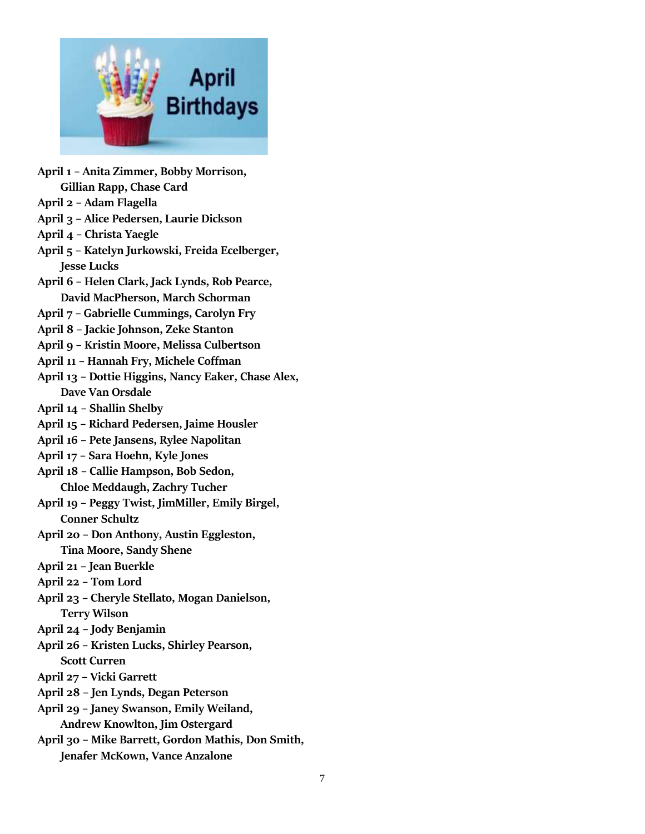

**April 1 – Anita Zimmer, Bobby Morrison, Gillian Rapp, Chase Card April 2 – Adam Flagella April 3 – Alice Pedersen, Laurie Dickson April 4 – Christa Yaegle April 5 – Katelyn Jurkowski, Freida Ecelberger, Jesse Lucks April 6 – Helen Clark, Jack Lynds, Rob Pearce, David MacPherson, March Schorman April 7 – Gabrielle Cummings, Carolyn Fry April 8 – Jackie Johnson, Zeke Stanton April 9 – Kristin Moore, Melissa Culbertson April 11 – Hannah Fry, Michele Coffman April 13 – Dottie Higgins, Nancy Eaker, Chase Alex, Dave Van Orsdale April 14 – Shallin Shelby April 15 – Richard Pedersen, Jaime Housler April 16 – Pete Jansens, Rylee Napolitan April 17 – Sara Hoehn, Kyle Jones April 18 – Callie Hampson, Bob Sedon, Chloe Meddaugh, Zachry Tucher April 19 – Peggy Twist, JimMiller, Emily Birgel, Conner Schultz April 20 – Don Anthony, Austin Eggleston, Tina Moore, Sandy Shene April 21 – Jean Buerkle April 22 – Tom Lord April 23 – Cheryle Stellato, Mogan Danielson, Terry Wilson April 24 – Jody Benjamin April 26 – Kristen Lucks, Shirley Pearson, Scott Curren April 27 – Vicki Garrett April 28 – Jen Lynds, Degan Peterson April 29 – Janey Swanson, Emily Weiland, Andrew Knowlton, Jim Ostergard April 30 – Mike Barrett, Gordon Mathis, Don Smith,** 

**Jenafer McKown, Vance Anzalone**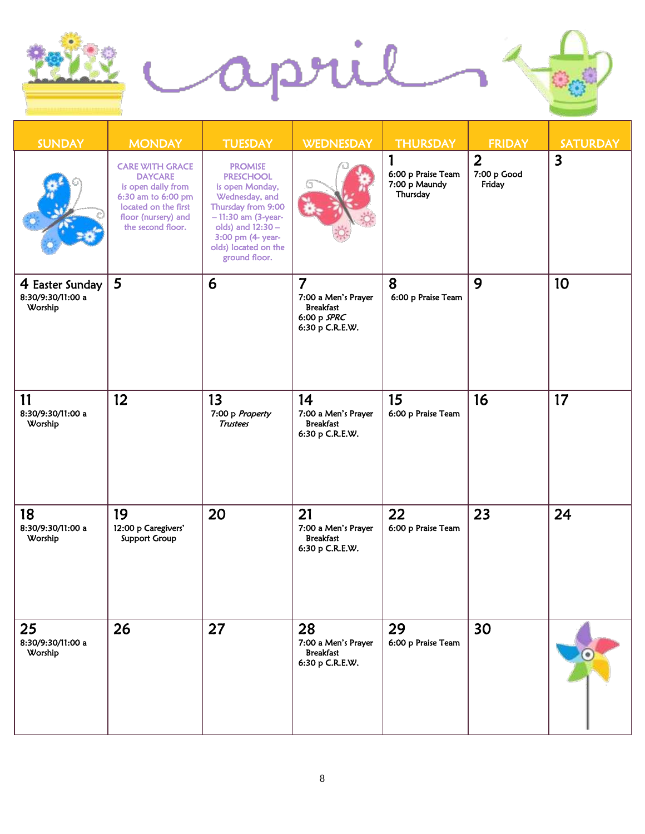

| <b>SUNDAY</b>                                   | <b>MONDAY</b>                                                                                                                                            | <b>TUESDAY</b>                                                                                                                                                                                           | <b>WEDNESDAY</b>                                                                              | <b>THURSDAY</b>                                 | <b>FRIDAY</b>                           | <b>SATURDAY</b>         |
|-------------------------------------------------|----------------------------------------------------------------------------------------------------------------------------------------------------------|----------------------------------------------------------------------------------------------------------------------------------------------------------------------------------------------------------|-----------------------------------------------------------------------------------------------|-------------------------------------------------|-----------------------------------------|-------------------------|
|                                                 | <b>CARE WITH GRACE</b><br><b>DAYCARE</b><br>is open daily from<br>6:30 am to 6:00 pm<br>located on the first<br>floor (nursery) and<br>the second floor. | <b>PROMISE</b><br><b>PRESCHOOL</b><br>is open Monday,<br>Wednesday, and<br>Thursday from 9:00<br>$-11:30$ am (3-year-<br>olds) and 12:30 -<br>3:00 pm (4- year-<br>olds) located on the<br>ground floor. |                                                                                               | 6:00 p Praise Team<br>7:00 p Maundy<br>Thursday | $\overline{2}$<br>7:00 p Good<br>Friday | $\overline{\mathbf{3}}$ |
| 4 Easter Sunday<br>8:30/9:30/11:00 a<br>Worship | 5                                                                                                                                                        | 6                                                                                                                                                                                                        | $\overline{7}$<br>7:00 a Men's Prayer<br><b>Breakfast</b><br>$6:00 p$ SPRC<br>6:30 p C.R.E.W. | 8<br>6:00 p Praise Team                         | 9                                       | 10                      |
| 11<br>8:30/9:30/11:00 a<br>Worship              | 12 <sup>2</sup>                                                                                                                                          | 13<br>7:00 p Property<br><b>Trustees</b>                                                                                                                                                                 | 14<br>7:00 a Men's Prayer<br><b>Breakfast</b><br>6:30 p C.R.E.W.                              | 15<br>6:00 p Praise Team                        | 16                                      | 17                      |
| 18<br>8:30/9:30/11:00 a<br>Worship              | 19<br>12:00 p Caregivers'<br><b>Support Group</b>                                                                                                        | 20                                                                                                                                                                                                       | 21<br>7:00 a Men's Prayer<br><b>Breakfast</b><br>6:30 p C.R.E.W.                              | 22<br>6:00 p Praise Team                        | 23                                      | 24                      |
| 25<br>8:30/9:30/11:00 a<br>Worship              | 26                                                                                                                                                       | 27                                                                                                                                                                                                       | 28<br>7:00 a Men's Prayer<br><b>Breakfast</b><br>6:30 p C.R.E.W.                              | 29<br>6:00 p Praise Team                        | 30                                      |                         |